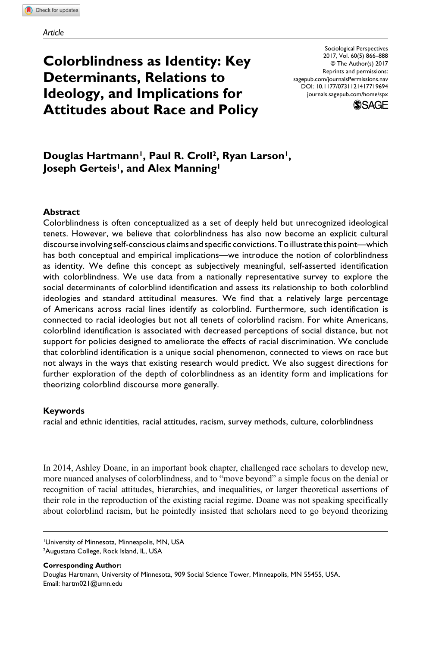# **Colorblindness as Identity: Key Determinants, Relations to Ideology, and Implications for Attitudes about Race and Policy**

https://doi.org/10.1177/0731121417719694 DOI: 10.1177/0731121417719694 Sociological Perspectives 2017, Vol. 60(5) 866–888 © The Author(s) 2017 Reprints and permissions: [sagepub.com/journalsPermissions.nav](https://us.sagepub.com/en-us/journals-permissions) [journals.sagepub.com/home/spx](https://journals.sagepub.com/home/spx)



# Douglas Hartmann<sup>1</sup>, Paul R. Croll<sup>2</sup>, Ryan Larson<sup>1</sup>, **Joseph Gerteis<sup>1</sup>, and Alex Manning<sup>1</sup>**

# **Abstract**

Colorblindness is often conceptualized as a set of deeply held but unrecognized ideological tenets. However, we believe that colorblindness has also now become an explicit cultural discourse involving self-conscious claims and specific convictions. To illustrate this point—which has both conceptual and empirical implications—we introduce the notion of colorblindness as identity. We define this concept as subjectively meaningful, self-asserted identification with colorblindness. We use data from a nationally representative survey to explore the social determinants of colorblind identification and assess its relationship to both colorblind ideologies and standard attitudinal measures. We find that a relatively large percentage of Americans across racial lines identify as colorblind. Furthermore, such identification is connected to racial ideologies but not all tenets of colorblind racism. For white Americans, colorblind identification is associated with decreased perceptions of social distance, but not support for policies designed to ameliorate the effects of racial discrimination. We conclude that colorblind identification is a unique social phenomenon, connected to views on race but not always in the ways that existing research would predict. We also suggest directions for further exploration of the depth of colorblindness as an identity form and implications for theorizing colorblind discourse more generally.

## **Keywords**

racial and ethnic identities, racial attitudes, racism, survey methods, culture, colorblindness

In 2014, Ashley Doane, in an important book chapter, challenged race scholars to develop new, more nuanced analyses of colorblindness, and to "move beyond" a simple focus on the denial or recognition of racial attitudes, hierarchies, and inequalities, or larger theoretical assertions of their role in the reproduction of the existing racial regime. Doane was not speaking specifically about colorblind racism, but he pointedly insisted that scholars need to go beyond theorizing

1University of Minnesota, Minneapolis, MN, USA

**Corresponding Author:** Douglas Hartmann, University of Minnesota, 909 Social Science Tower, Minneapolis, MN 55455, USA. Email: [hartm021@umn.edu](mailto:hartm021@umn.edu)

<sup>2</sup>Augustana College, Rock Island, IL, USA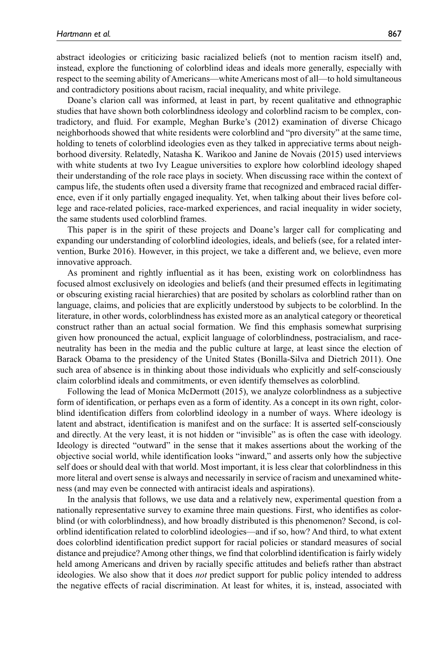abstract ideologies or criticizing basic racialized beliefs (not to mention racism itself) and, instead, explore the functioning of colorblind ideas and ideals more generally, especially with respect to the seeming ability of Americans—white Americans most of all—to hold simultaneous and contradictory positions about racism, racial inequality, and white privilege.

Doane's clarion call was informed, at least in part, by recent qualitative and ethnographic studies that have shown both colorblindness ideology and colorblind racism to be complex, contradictory, and fluid. For example, Meghan Burke's (2012) examination of diverse Chicago neighborhoods showed that white residents were colorblind and "pro diversity" at the same time, holding to tenets of colorblind ideologies even as they talked in appreciative terms about neighborhood diversity. Relatedly, Natasha K. Warikoo and Janine de Novais (2015) used interviews with white students at two Ivy League universities to explore how colorblind ideology shaped their understanding of the role race plays in society. When discussing race within the context of campus life, the students often used a diversity frame that recognized and embraced racial difference, even if it only partially engaged inequality. Yet, when talking about their lives before college and race-related policies, race-marked experiences, and racial inequality in wider society, the same students used colorblind frames.

This paper is in the spirit of these projects and Doane's larger call for complicating and expanding our understanding of colorblind ideologies, ideals, and beliefs (see, for a related intervention, Burke 2016). However, in this project, we take a different and, we believe, even more innovative approach.

As prominent and rightly influential as it has been, existing work on colorblindness has focused almost exclusively on ideologies and beliefs (and their presumed effects in legitimating or obscuring existing racial hierarchies) that are posited by scholars as colorblind rather than on language, claims, and policies that are explicitly understood by subjects to be colorblind. In the literature, in other words, colorblindness has existed more as an analytical category or theoretical construct rather than an actual social formation. We find this emphasis somewhat surprising given how pronounced the actual, explicit language of colorblindness, postracialism, and raceneutrality has been in the media and the public culture at large, at least since the election of Barack Obama to the presidency of the United States (Bonilla-Silva and Dietrich 2011). One such area of absence is in thinking about those individuals who explicitly and self-consciously claim colorblind ideals and commitments, or even identify themselves as colorblind.

Following the lead of Monica McDermott (2015), we analyze colorblindness as a subjective form of identification, or perhaps even as a form of identity. As a concept in its own right, colorblind identification differs from colorblind ideology in a number of ways. Where ideology is latent and abstract, identification is manifest and on the surface: It is asserted self-consciously and directly. At the very least, it is not hidden or "invisible" as is often the case with ideology. Ideology is directed "outward" in the sense that it makes assertions about the working of the objective social world, while identification looks "inward," and asserts only how the subjective self does or should deal with that world. Most important, it is less clear that colorblindness in this more literal and overt sense is always and necessarily in service of racism and unexamined whiteness (and may even be connected with antiracist ideals and aspirations).

In the analysis that follows, we use data and a relatively new, experimental question from a nationally representative survey to examine three main questions. First, who identifies as colorblind (or with colorblindness), and how broadly distributed is this phenomenon? Second, is colorblind identification related to colorblind ideologies—and if so, how? And third, to what extent does colorblind identification predict support for racial policies or standard measures of social distance and prejudice? Among other things, we find that colorblind identification is fairly widely held among Americans and driven by racially specific attitudes and beliefs rather than abstract ideologies. We also show that it does *not* predict support for public policy intended to address the negative effects of racial discrimination. At least for whites, it is, instead, associated with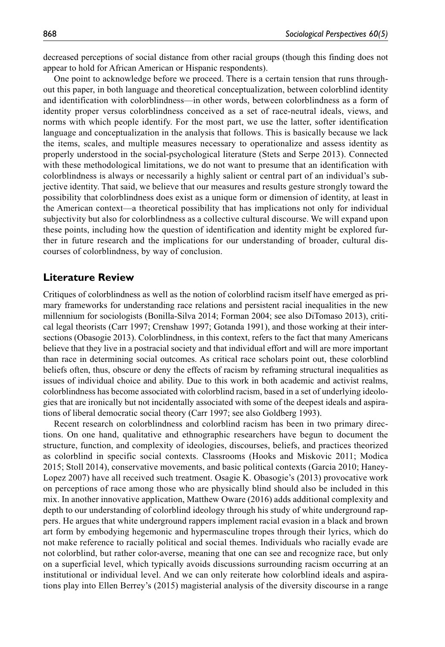decreased perceptions of social distance from other racial groups (though this finding does not appear to hold for African American or Hispanic respondents).

One point to acknowledge before we proceed. There is a certain tension that runs throughout this paper, in both language and theoretical conceptualization, between colorblind identity and identification with colorblindness—in other words, between colorblindness as a form of identity proper versus colorblindness conceived as a set of race-neutral ideals, views, and norms with which people identify. For the most part, we use the latter, softer identification language and conceptualization in the analysis that follows. This is basically because we lack the items, scales, and multiple measures necessary to operationalize and assess identity as properly understood in the social-psychological literature (Stets and Serpe 2013). Connected with these methodological limitations, we do not want to presume that an identification with colorblindness is always or necessarily a highly salient or central part of an individual's subjective identity. That said, we believe that our measures and results gesture strongly toward the possibility that colorblindness does exist as a unique form or dimension of identity, at least in the American context—a theoretical possibility that has implications not only for individual subjectivity but also for colorblindness as a collective cultural discourse. We will expand upon these points, including how the question of identification and identity might be explored further in future research and the implications for our understanding of broader, cultural discourses of colorblindness, by way of conclusion.

# **Literature Review**

Critiques of colorblindness as well as the notion of colorblind racism itself have emerged as primary frameworks for understanding race relations and persistent racial inequalities in the new millennium for sociologists (Bonilla-Silva 2014; Forman 2004; see also DiTomaso 2013), critical legal theorists (Carr 1997; Crenshaw 1997; Gotanda 1991), and those working at their intersections (Obasogie 2013). Colorblindness, in this context, refers to the fact that many Americans believe that they live in a postracial society and that individual effort and will are more important than race in determining social outcomes. As critical race scholars point out, these colorblind beliefs often, thus, obscure or deny the effects of racism by reframing structural inequalities as issues of individual choice and ability. Due to this work in both academic and activist realms, colorblindness has become associated with colorblind racism, based in a set of underlying ideologies that are ironically but not incidentally associated with some of the deepest ideals and aspirations of liberal democratic social theory (Carr 1997; see also Goldberg 1993).

Recent research on colorblindness and colorblind racism has been in two primary directions. On one hand, qualitative and ethnographic researchers have begun to document the structure, function, and complexity of ideologies, discourses, beliefs, and practices theorized as colorblind in specific social contexts. Classrooms (Hooks and Miskovic 2011; Modica 2015; Stoll 2014), conservative movements, and basic political contexts (Garcia 2010; Haney-Lopez 2007) have all received such treatment. Osagie K. Obasogie's (2013) provocative work on perceptions of race among those who are physically blind should also be included in this mix. In another innovative application, Matthew Oware (2016) adds additional complexity and depth to our understanding of colorblind ideology through his study of white underground rappers. He argues that white underground rappers implement racial evasion in a black and brown art form by embodying hegemonic and hypermasculine tropes through their lyrics, which do not make reference to racially political and social themes. Individuals who racially evade are not colorblind, but rather color-averse, meaning that one can see and recognize race, but only on a superficial level, which typically avoids discussions surrounding racism occurring at an institutional or individual level. And we can only reiterate how colorblind ideals and aspirations play into Ellen Berrey's (2015) magisterial analysis of the diversity discourse in a range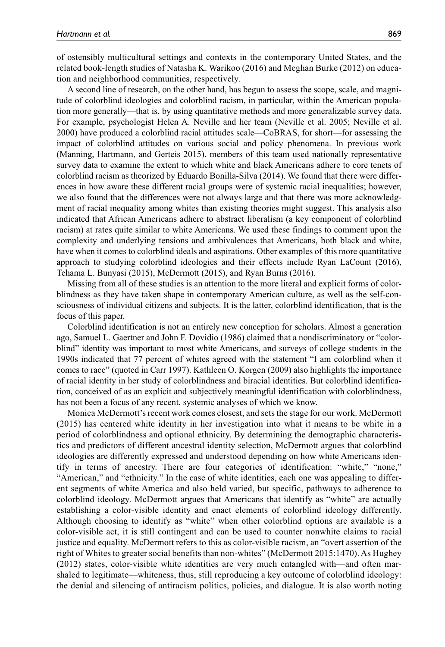of ostensibly multicultural settings and contexts in the contemporary United States, and the related book-length studies of Natasha K. Warikoo (2016) and Meghan Burke (2012) on education and neighborhood communities, respectively.

A second line of research, on the other hand, has begun to assess the scope, scale, and magnitude of colorblind ideologies and colorblind racism, in particular, within the American population more generally—that is, by using quantitative methods and more generalizable survey data. For example, psychologist Helen A. Neville and her team (Neville et al. 2005; Neville et al. 2000) have produced a colorblind racial attitudes scale—CoBRAS, for short—for assessing the impact of colorblind attitudes on various social and policy phenomena. In previous work (Manning, Hartmann, and Gerteis 2015), members of this team used nationally representative survey data to examine the extent to which white and black Americans adhere to core tenets of colorblind racism as theorized by Eduardo Bonilla-Silva (2014). We found that there were differences in how aware these different racial groups were of systemic racial inequalities; however, we also found that the differences were not always large and that there was more acknowledgment of racial inequality among whites than existing theories might suggest. This analysis also indicated that African Americans adhere to abstract liberalism (a key component of colorblind racism) at rates quite similar to white Americans. We used these findings to comment upon the complexity and underlying tensions and ambivalences that Americans, both black and white, have when it comes to colorblind ideals and aspirations. Other examples of this more quantitative approach to studying colorblind ideologies and their effects include Ryan LaCount (2016), Tehama L. Bunyasi (2015), McDermott (2015), and Ryan Burns (2016).

Missing from all of these studies is an attention to the more literal and explicit forms of colorblindness as they have taken shape in contemporary American culture, as well as the self-consciousness of individual citizens and subjects. It is the latter, colorblind identification, that is the focus of this paper.

Colorblind identification is not an entirely new conception for scholars. Almost a generation ago, Samuel L. Gaertner and John F. Dovidio (1986) claimed that a nondiscriminatory or "colorblind" identity was important to most white Americans, and surveys of college students in the 1990s indicated that 77 percent of whites agreed with the statement "I am colorblind when it comes to race" (quoted in Carr 1997). Kathleen O. Korgen (2009) also highlights the importance of racial identity in her study of colorblindness and biracial identities. But colorblind identification, conceived of as an explicit and subjectively meaningful identification with colorblindness, has not been a focus of any recent, systemic analyses of which we know.

Monica McDermott's recent work comes closest, and sets the stage for our work. McDermott (2015) has centered white identity in her investigation into what it means to be white in a period of colorblindness and optional ethnicity. By determining the demographic characteristics and predictors of different ancestral identity selection, McDermott argues that colorblind ideologies are differently expressed and understood depending on how white Americans identify in terms of ancestry. There are four categories of identification: "white," "none," "American," and "ethnicity." In the case of white identities, each one was appealing to different segments of white America and also held varied, but specific, pathways to adherence to colorblind ideology. McDermott argues that Americans that identify as "white" are actually establishing a color-visible identity and enact elements of colorblind ideology differently. Although choosing to identify as "white" when other colorblind options are available is a color-visible act, it is still contingent and can be used to counter nonwhite claims to racial justice and equality. McDermott refers to this as color-visible racism, an "overt assertion of the right of Whites to greater social benefits than non-whites" (McDermott 2015:1470). As Hughey (2012) states, color-visible white identities are very much entangled with—and often marshaled to legitimate—whiteness, thus, still reproducing a key outcome of colorblind ideology: the denial and silencing of antiracism politics, policies, and dialogue. It is also worth noting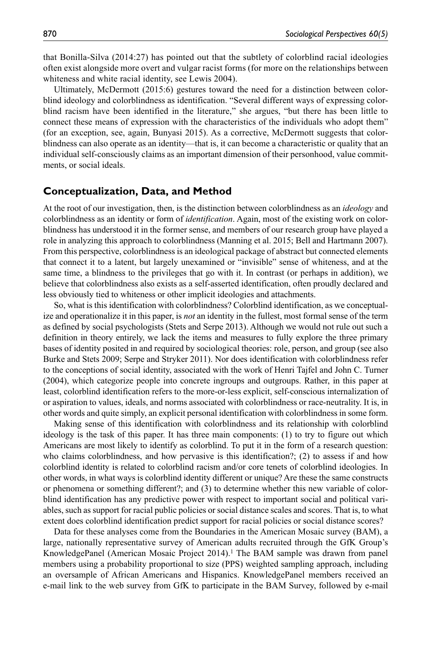that Bonilla-Silva (2014:27) has pointed out that the subtlety of colorblind racial ideologies often exist alongside more overt and vulgar racist forms (for more on the relationships between whiteness and white racial identity, see Lewis 2004).

Ultimately, McDermott (2015:6) gestures toward the need for a distinction between colorblind ideology and colorblindness as identification. "Several different ways of expressing colorblind racism have been identified in the literature," she argues, "but there has been little to connect these means of expression with the characteristics of the individuals who adopt them" (for an exception, see, again, Bunyasi 2015). As a corrective, McDermott suggests that colorblindness can also operate as an identity—that is, it can become a characteristic or quality that an individual self-consciously claims as an important dimension of their personhood, value commitments, or social ideals.

# **Conceptualization, Data, and Method**

At the root of our investigation, then, is the distinction between colorblindness as an *ideology* and colorblindness as an identity or form of *identification*. Again, most of the existing work on colorblindness has understood it in the former sense, and members of our research group have played a role in analyzing this approach to colorblindness (Manning et al. 2015; Bell and Hartmann 2007). From this perspective, colorblindness is an ideological package of abstract but connected elements that connect it to a latent, but largely unexamined or "invisible" sense of whiteness, and at the same time, a blindness to the privileges that go with it. In contrast (or perhaps in addition), we believe that colorblindness also exists as a self-asserted identification, often proudly declared and less obviously tied to whiteness or other implicit ideologies and attachments.

So, what is this identification with colorblindness? Colorblind identification, as we conceptualize and operationalize it in this paper, is *not* an identity in the fullest, most formal sense of the term as defined by social psychologists (Stets and Serpe 2013). Although we would not rule out such a definition in theory entirely, we lack the items and measures to fully explore the three primary bases of identity posited in and required by sociological theories: role, person, and group (see also Burke and Stets 2009; Serpe and Stryker 2011). Nor does identification with colorblindness refer to the conceptions of social identity, associated with the work of Henri Tajfel and John C. Turner (2004), which categorize people into concrete ingroups and outgroups. Rather, in this paper at least, colorblind identification refers to the more-or-less explicit, self-conscious internalization of or aspiration to values, ideals, and norms associated with colorblindness or race-neutrality. It is, in other words and quite simply, an explicit personal identification with colorblindness in some form.

Making sense of this identification with colorblindness and its relationship with colorblind ideology is the task of this paper. It has three main components: (1) to try to figure out which Americans are most likely to identify as colorblind. To put it in the form of a research question: who claims colorblindness, and how pervasive is this identification?; (2) to assess if and how colorblind identity is related to colorblind racism and/or core tenets of colorblind ideologies. In other words, in what ways is colorblind identity different or unique? Are these the same constructs or phenomena or something different?; and (3) to determine whether this new variable of colorblind identification has any predictive power with respect to important social and political variables, such as support for racial public policies or social distance scales and scores. That is, to what extent does colorblind identification predict support for racial policies or social distance scores?

Data for these analyses come from the Boundaries in the American Mosaic survey (BAM), a large, nationally representative survey of American adults recruited through the GfK Group's KnowledgePanel (American Mosaic Project 2014).1 The BAM sample was drawn from panel members using a probability proportional to size (PPS) weighted sampling approach, including an oversample of African Americans and Hispanics. KnowledgePanel members received an e-mail link to the web survey from GfK to participate in the BAM Survey, followed by e-mail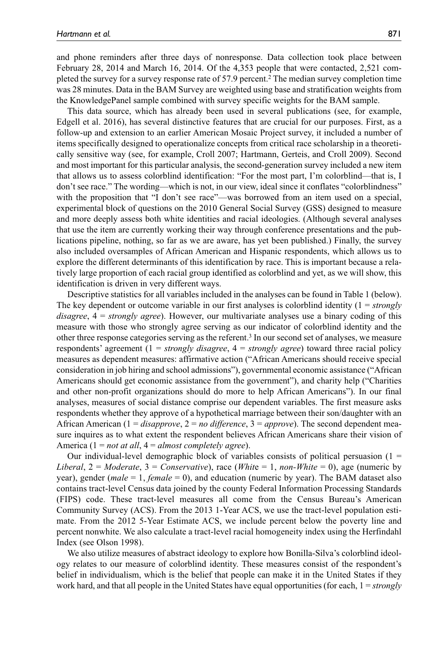and phone reminders after three days of nonresponse. Data collection took place between February 28, 2014 and March 16, 2014. Of the 4,353 people that were contacted, 2,521 completed the survey for a survey response rate of 57.9 percent.2 The median survey completion time was 28 minutes. Data in the BAM Survey are weighted using base and stratification weights from the KnowledgePanel sample combined with survey specific weights for the BAM sample.

This data source, which has already been used in several publications (see, for example, Edgell et al. 2016), has several distinctive features that are crucial for our purposes. First, as a follow-up and extension to an earlier American Mosaic Project survey, it included a number of items specifically designed to operationalize concepts from critical race scholarship in a theoretically sensitive way (see, for example, Croll 2007; Hartmann, Gerteis, and Croll 2009). Second and most important for this particular analysis, the second-generation survey included a new item that allows us to assess colorblind identification: "For the most part, I'm colorblind—that is, I don't see race." The wording—which is not, in our view, ideal since it conflates "colorblindness" with the proposition that "I don't see race"—was borrowed from an item used on a special, experimental block of questions on the 2010 General Social Survey (GSS) designed to measure and more deeply assess both white identities and racial ideologies. (Although several analyses that use the item are currently working their way through conference presentations and the publications pipeline, nothing, so far as we are aware, has yet been published.) Finally, the survey also included oversamples of African American and Hispanic respondents, which allows us to explore the different determinants of this identification by race. This is important because a relatively large proportion of each racial group identified as colorblind and yet, as we will show, this identification is driven in very different ways.

Descriptive statistics for all variables included in the analyses can be found in Table 1 (below). The key dependent or outcome variable in our first analyses is colorblind identity (1 = *strongly disagree*, 4 = *strongly agree*). However, our multivariate analyses use a binary coding of this measure with those who strongly agree serving as our indicator of colorblind identity and the other three response categories serving as the referent.3 In our second set of analyses, we measure respondents' agreement (1 = *strongly disagree*, 4 = *strongly agree*) toward three racial policy measures as dependent measures: affirmative action ("African Americans should receive special consideration in job hiring and school admissions"), governmental economic assistance ("African Americans should get economic assistance from the government"), and charity help ("Charities and other non-profit organizations should do more to help African Americans"). In our final analyses, measures of social distance comprise our dependent variables. The first measure asks respondents whether they approve of a hypothetical marriage between their son/daughter with an African American (1 = *disapprove*, 2 = *no difference*, 3 = *approve*). The second dependent measure inquires as to what extent the respondent believes African Americans share their vision of America (1 = *not at all*, 4 = *almost completely agree*).

Our individual-level demographic block of variables consists of political persuasion  $(1 =$ *Liberal*, 2 = *Moderate*, 3 = *Conservative*), race (*Whit*e = 1, *non-White* = 0), age (numeric by year), gender (*male* = 1, *female* = 0), and education (numeric by year). The BAM dataset also contains tract-level Census data joined by the county Federal Information Processing Standards (FIPS) code. These tract-level measures all come from the Census Bureau's American Community Survey (ACS). From the 2013 1-Year ACS, we use the tract-level population estimate. From the 2012 5-Year Estimate ACS, we include percent below the poverty line and percent nonwhite. We also calculate a tract-level racial homogeneity index using the Herfindahl Index (see Olson 1998).

We also utilize measures of abstract ideology to explore how Bonilla-Silva's colorblind ideology relates to our measure of colorblind identity. These measures consist of the respondent's belief in individualism, which is the belief that people can make it in the United States if they work hard, and that all people in the United States have equal opportunities (for each, 1 = *strongly*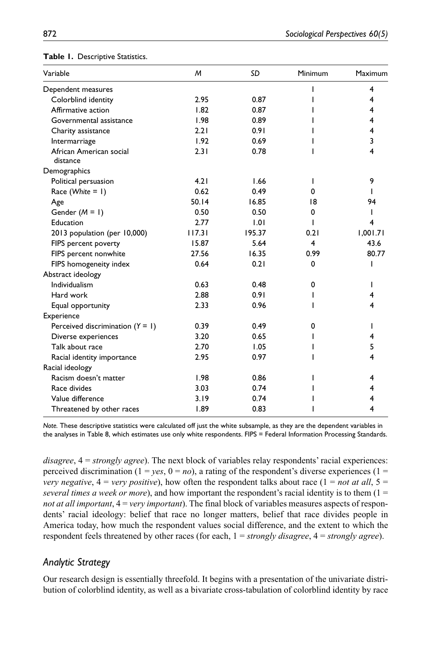| Variable                            | M      | SD     | Minimum | Maximum  |
|-------------------------------------|--------|--------|---------|----------|
| Dependent measures                  |        |        |         | 4        |
| Colorblind identity                 | 2.95   | 0.87   |         | 4        |
| Affirmative action                  | 1.82   | 0.87   |         | 4        |
| Governmental assistance             | 1.98   | 0.89   |         | 4        |
| Charity assistance                  | 2.21   | 0.91   |         | 4        |
| Intermarriage                       | 1.92   | 0.69   |         | 3        |
| African American social<br>distance | 2.31   | 0.78   | ı       | 4        |
| Demographics                        |        |        |         |          |
| Political persuasion                | 4.21   | 1.66   | I.      | 9        |
| Race (White = 1)                    | 0.62   | 0.49   | 0       |          |
| Age                                 | 50.14  | 16.85  | 18      | 94       |
| Gender $(M = 1)$                    | 0.50   | 0.50   | 0       |          |
| Education                           | 2.77   | 1.01   | I       | 4        |
| 2013 population (per 10,000)        | 117.31 | 195.37 | 0.21    | 1,001.71 |
| FIPS percent poverty                | 15.87  | 5.64   | 4       | 43.6     |
| FIPS percent nonwhite               | 27.56  | 16.35  | 0.99    | 80.77    |
| FIPS homogeneity index              | 0.64   | 0.21   | 0       | ı        |
| Abstract ideology                   |        |        |         |          |
| Individualism                       | 0.63   | 0.48   | 0       |          |
| Hard work                           | 2.88   | 0.91   |         | 4        |
| Equal opportunity                   | 2.33   | 0.96   |         | 4        |
| Experience                          |        |        |         |          |
| Perceived discrimination $(Y = 1)$  | 0.39   | 0.49   | 0       |          |
| Diverse experiences                 | 3.20   | 0.65   |         | 4        |
| Talk about race                     | 2.70   | 1.05   |         | 5        |
| Racial identity importance          | 2.95   | 0.97   |         | 4        |
| Racial ideology                     |        |        |         |          |
| Racism doesn't matter               | 1.98   | 0.86   |         | 4        |
| Race divides                        | 3.03   | 0.74   |         | 4        |
| Value difference                    | 3.19   | 0.74   |         |          |
| Threatened by other races           | 1.89   | 0.83   |         | 4        |

# **Table 1.** Descriptive Statistics.

*Note.* These descriptive statistics were calculated off just the white subsample, as they are the dependent variables in the analyses in Table 8, which estimates use only white respondents. FIPS = Federal Information Processing Standards.

*disagree*, 4 = *strongly agree*). The next block of variables relay respondents' racial experiences: perceived discrimination  $(1 = yes, 0 = no)$ , a rating of the respondent's diverse experiences  $(1 =$ *very negative*,  $4 = \text{very positive}$ , how often the respondent talks about race  $(1 = \text{not at all}, 5 =$ *several times a week or more*), and how important the respondent's racial identity is to them (1 = *not at all important*, 4 = *very important*). The final block of variables measures aspects of respondents' racial ideology: belief that race no longer matters, belief that race divides people in America today, how much the respondent values social difference, and the extent to which the respondent feels threatened by other races (for each, 1 = *strongly disagree*, 4 = *strongly agree*).

# *Analytic Strategy*

Our research design is essentially threefold. It begins with a presentation of the univariate distribution of colorblind identity, as well as a bivariate cross-tabulation of colorblind identity by race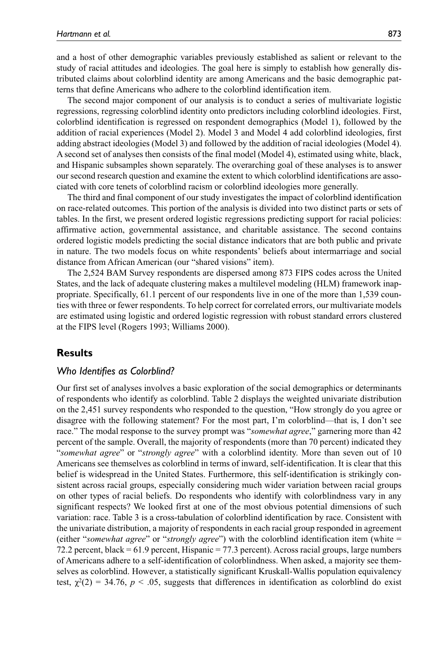and a host of other demographic variables previously established as salient or relevant to the study of racial attitudes and ideologies. The goal here is simply to establish how generally distributed claims about colorblind identity are among Americans and the basic demographic patterns that define Americans who adhere to the colorblind identification item.

The second major component of our analysis is to conduct a series of multivariate logistic regressions, regressing colorblind identity onto predictors including colorblind ideologies. First, colorblind identification is regressed on respondent demographics (Model 1), followed by the addition of racial experiences (Model 2). Model 3 and Model 4 add colorblind ideologies, first adding abstract ideologies (Model 3) and followed by the addition of racial ideologies (Model 4). A second set of analyses then consists of the final model (Model 4), estimated using white, black, and Hispanic subsamples shown separately. The overarching goal of these analyses is to answer our second research question and examine the extent to which colorblind identifications are associated with core tenets of colorblind racism or colorblind ideologies more generally.

The third and final component of our study investigates the impact of colorblind identification on race-related outcomes. This portion of the analysis is divided into two distinct parts or sets of tables. In the first, we present ordered logistic regressions predicting support for racial policies: affirmative action, governmental assistance, and charitable assistance. The second contains ordered logistic models predicting the social distance indicators that are both public and private in nature. The two models focus on white respondents' beliefs about intermarriage and social distance from African American (our "shared visions" item).

The 2,524 BAM Survey respondents are dispersed among 873 FIPS codes across the United States, and the lack of adequate clustering makes a multilevel modeling (HLM) framework inappropriate. Specifically, 61.1 percent of our respondents live in one of the more than 1,539 counties with three or fewer respondents. To help correct for correlated errors, our multivariate models are estimated using logistic and ordered logistic regression with robust standard errors clustered at the FIPS level (Rogers 1993; Williams 2000).

# **Results**

# *Who Identifies as Colorblind?*

Our first set of analyses involves a basic exploration of the social demographics or determinants of respondents who identify as colorblind. Table 2 displays the weighted univariate distribution on the 2,451 survey respondents who responded to the question, "How strongly do you agree or disagree with the following statement? For the most part, I'm colorblind—that is, I don't see race." The modal response to the survey prompt was "*somewhat agree*," garnering more than 42 percent of the sample. Overall, the majority of respondents (more than 70 percent) indicated they "*somewhat agree*" or "*strongly agree*" with a colorblind identity. More than seven out of 10 Americans see themselves as colorblind in terms of inward, self-identification. It is clear that this belief is widespread in the United States. Furthermore, this self-identification is strikingly consistent across racial groups, especially considering much wider variation between racial groups on other types of racial beliefs. Do respondents who identify with colorblindness vary in any significant respects? We looked first at one of the most obvious potential dimensions of such variation: race. Table 3 is a cross-tabulation of colorblind identification by race. Consistent with the univariate distribution, a majority of respondents in each racial group responded in agreement (either "*somewhat agree*" or "*strongly agree*") with the colorblind identification item (white = 72.2 percent, black = 61.9 percent, Hispanic = 77.3 percent). Across racial groups, large numbers of Americans adhere to a self-identification of colorblindness. When asked, a majority see themselves as colorblind. However, a statistically significant Kruskall-Wallis population equivalency test,  $\chi^2(2) = 34.76$ ,  $p < .05$ , suggests that differences in identification as colorblind do exist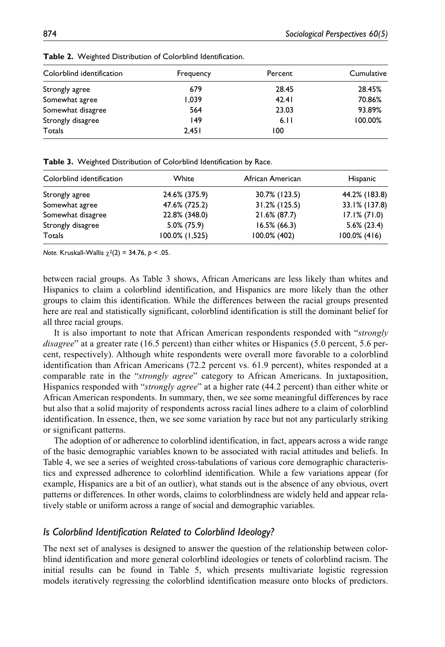| Colorblind identification | Frequency | Percent | Cumulative |
|---------------------------|-----------|---------|------------|
| Strongly agree            | 679       | 28.45   | 28.45%     |
| Somewhat agree            | 1.039     | 42.41   | 70.86%     |
| Somewhat disagree         | 564       | 23.03   | 93.89%     |
| Strongly disagree         | 149       | 6.11    | 100.00%    |
| Totals                    | 2.451     | 100     |            |

**Table 2.** Weighted Distribution of Colorblind Identification.

**Table 3.** Weighted Distribution of Colorblind Identification by Race.

| Colorblind identification | White          | African American | Hispanic        |
|---------------------------|----------------|------------------|-----------------|
| Strongly agree            | 24.6% (375.9)  | 30.7% (123.5)    | 44.2% (183.8)   |
| Somewhat agree            | 47.6% (725.2)  | $31.2\%$ (125.5) | 33.1% (137.8)   |
| Somewhat disagree         | 22.8% (348.0)  | 21.6% (87.7)     | $17.1\%$ (71.0) |
| Strongly disagree         | 5.0% (75.9)    | $16.5\% (66.3)$  | $5.6\%$ (23.4)  |
| Totals                    | 100.0% (1,525) | 100.0% (402)     | $100.0\%$ (416) |

*Note.* Kruskall-Wallis χ2(2) = 34.76, *p* < .05.

between racial groups. As Table 3 shows, African Americans are less likely than whites and Hispanics to claim a colorblind identification, and Hispanics are more likely than the other groups to claim this identification. While the differences between the racial groups presented here are real and statistically significant, colorblind identification is still the dominant belief for all three racial groups.

It is also important to note that African American respondents responded with "*strongly disagree*" at a greater rate (16.5 percent) than either whites or Hispanics (5.0 percent, 5.6 percent, respectively). Although white respondents were overall more favorable to a colorblind identification than African Americans (72.2 percent vs. 61.9 percent), whites responded at a comparable rate in the "*strongly agree*" category to African Americans. In juxtaposition, Hispanics responded with "*strongly agree*" at a higher rate (44.2 percent) than either white or African American respondents. In summary, then, we see some meaningful differences by race but also that a solid majority of respondents across racial lines adhere to a claim of colorblind identification. In essence, then, we see some variation by race but not any particularly striking or significant patterns.

The adoption of or adherence to colorblind identification, in fact, appears across a wide range of the basic demographic variables known to be associated with racial attitudes and beliefs. In Table 4, we see a series of weighted cross-tabulations of various core demographic characteristics and expressed adherence to colorblind identification. While a few variations appear (for example, Hispanics are a bit of an outlier), what stands out is the absence of any obvious, overt patterns or differences. In other words, claims to colorblindness are widely held and appear relatively stable or uniform across a range of social and demographic variables.

# *Is Colorblind Identification Related to Colorblind Ideology?*

The next set of analyses is designed to answer the question of the relationship between colorblind identification and more general colorblind ideologies or tenets of colorblind racism. The initial results can be found in Table 5, which presents multivariate logistic regression models iteratively regressing the colorblind identification measure onto blocks of predictors.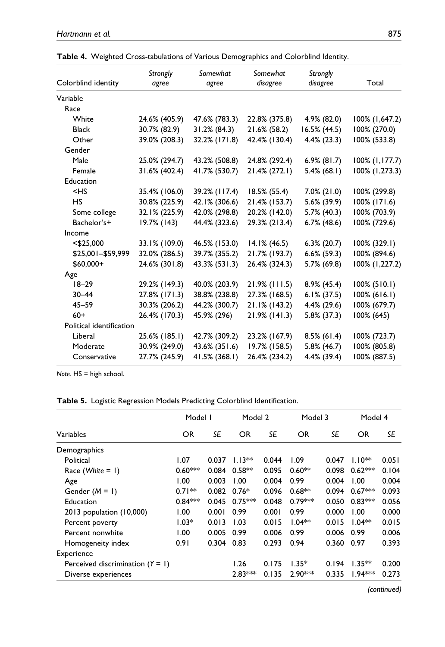|                          | Strongly      | Somewhat        | Somewhat         | Strongly       |                 |
|--------------------------|---------------|-----------------|------------------|----------------|-----------------|
| Colorblind identity      | agree         | agree           | disagree         | disagree       | Total           |
| Variable                 |               |                 |                  |                |                 |
| Race                     |               |                 |                  |                |                 |
| White                    | 24.6% (405.9) | 47.6% (783.3)   | 22.8% (375.8)    | 4.9% (82.0)    | 100% (1,647.2)  |
| <b>Black</b>             | 30.7% (82.9)  | $31.2\% (84.3)$ | 21.6% (58.2)     | 16.5% (44.5)   | 100% (270.0)    |
| Other                    | 39.0% (208.3) | 32.2% (171.8)   | 42.4% (130.4)    | $4.4\%$ (23.3) | 100% (533.8)    |
| Gender                   |               |                 |                  |                |                 |
| Male                     | 25.0% (294.7) | 43.2% (508.8)   | 24.8% (292.4)    | $6.9\%$ (81.7) | 100% (1,177.7)  |
| Female                   | 31.6% (402.4) | 41.7% (530.7)   | 21.4% (272.1)    | $5.4\%$ (68.1) | 100% (1,273.3)  |
| Education                |               |                 |                  |                |                 |
| $<$ HS                   | 35.4% (106.0) | 39.2% (117.4)   | 18.5% (55.4)     | $7.0\%$ (21.0) | 100% (299.8)    |
| <b>HS</b>                | 30.8% (225.9) | 42.1% (306.6)   | 21.4% (153.7)    | 5.6% (39.9)    | 100% (171.6)    |
| Some college             | 32.1% (225.9) | 42.0% (298.8)   | 20.2% (142.0)    | 5.7% (40.3)    | 100% (703.9)    |
| Bachelor's+              | 19.7% (143)   | 44.4% (323.6)   | 29.3% (213.4)    | $6.7\%$ (48.6) | 100% (729.6)    |
| Income                   |               |                 |                  |                |                 |
| $<$ \$25,000             | 33.1% (109.0) | 46.5% (153.0)   | $14.1\%$ (46.5)  | $6.3\%$ (20.7) | 100% (329.1)    |
| \$25,001-\$59,999        | 32.0% (286.5) | 39.7% (355.2)   | 21.7% (193.7)    | $6.6\%$ (59.3) | 100% (894.6)    |
| $$60,000+$               | 24.6% (301.8) | 43.3% (531.3)   | 26.4% (324.3)    | 5.7% (69.8)    | 100% (1,227.2)  |
| Age                      |               |                 |                  |                |                 |
| $18 - 29$                | 29.2% (149.3) | 40.0% (203.9)   | $21.9\%$ (111.5) | $8.9\%$ (45.4) | $100\% (510.1)$ |
| $30 - 44$                | 27.8% (171.3) | 38.8% (238.8)   | 27.3% (168.5)    | $6.1\%$ (37.5) | $100\% (616.1)$ |
| $45 - 59$                | 30.3% (206.2) | 44.2% (300.7)   | 21.1% (143.2)    | 4.4% (29.6)    | 100% (679.7)    |
| $60+$                    | 26.4% (170.3) | 45.9% (296)     | $21.9\%$ (141.3) | $5.8\%$ (37.3) | 100% (645)      |
| Political identification |               |                 |                  |                |                 |
| Liberal                  | 25.6% (185.1) | 42.7% (309.2)   | 23.2% (167.9)    | $8.5\%$ (61.4) | 100% (723.7)    |
| Moderate                 | 30.9% (249.0) | 43.6% (351.6)   | 19.7% (158.5)    | 5.8% (46.7)    | 100% (805.8)    |
| Conservative             | 27.7% (245.9) | 41.5% (368.1)   | 26.4% (234.2)    | 4.4% (39.4)    | 100% (887.5)    |

|  |  | Table 4. Weighted Cross-tabulations of Various Demographics and Colorblind Identity. |  |  |  |  |
|--|--|--------------------------------------------------------------------------------------|--|--|--|--|
|--|--|--------------------------------------------------------------------------------------|--|--|--|--|

*Note.* HS = high school.

|                                    | Model I   |       | Model 2   |       | Model 3   |       | Model 4              |       |
|------------------------------------|-----------|-------|-----------|-------|-----------|-------|----------------------|-------|
| Variables                          | OR        | SE    | OR        | SE    | OR        | SE    | OR                   | SE    |
| Demographics                       |           |       |           |       |           |       |                      |       |
| Political                          | 1.07      | 0.037 | $1.13**$  | 0.044 | 1.09      | 0.047 | $1.10**$             | 0.051 |
| Race (White $= 1$ )                | $0.60***$ | 0.084 | $0.58**$  | 0.095 | $0.60**$  | 0.098 | $0.62***$            | 0.104 |
| Age                                | 1.00      | 0.003 | 1.00      | 0.004 | 0.99      | 0.004 | 1.00                 | 0.004 |
| Gender $(M = I)$                   | $0.71**$  | 0.082 | $0.76*$   | 0.096 | $0.68**$  | 0.094 | $0.67***$            | 0.093 |
| Education                          | $0.84***$ | 0.045 | $0.75***$ | 0.048 | $0.79***$ | 0.050 | $0.83***$            | 0.056 |
| 2013 population (10,000)           | 1.00      | 0.001 | 0.99      | 0.001 | 0.99      | 0.000 | 1.00                 | 0.000 |
| Percent poverty                    | $1.03*$   | 0.013 | 1.03      | 0.015 | $1.04**$  | 0.015 | $1.04**$             | 0.015 |
| Percent nonwhite                   | 1.00      | 0.005 | 0.99      | 0.006 | 0.99      | 0.006 | 0.99                 | 0.006 |
| Homogeneity index                  | 0.91      | 0.304 | 0.83      | 0.293 | 0.94      | 0.360 | 0.97                 | 0.393 |
| Experience                         |           |       |           |       |           |       |                      |       |
| Perceived discrimination $(Y = 1)$ |           |       | 1.26      | 0.175 | $1.35*$   | 0.194 | $1.35**$             | 0.200 |
| Diverse experiences                |           |       | $2.83***$ | 0.135 | $2.90***$ | 0.335 | l.94 <sup>*</sup> ** | 0.273 |

*(continued)*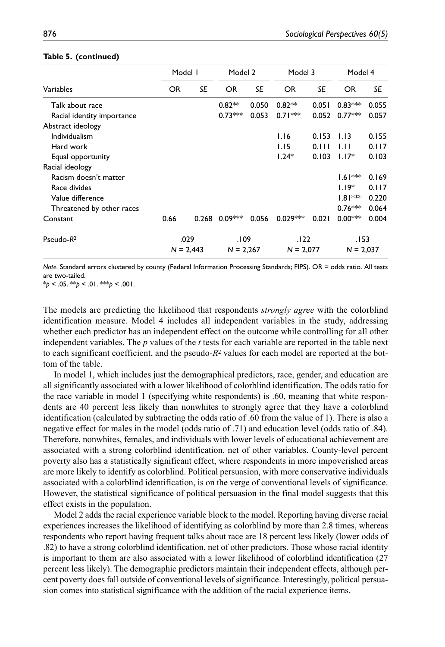|                            |           | Model I     |             | Model 2   |             | Model 3   |             | Model 4   |  |
|----------------------------|-----------|-------------|-------------|-----------|-------------|-----------|-------------|-----------|--|
| Variables                  | <b>OR</b> | <b>SE</b>   | <b>OR</b>   | <b>SE</b> | <b>OR</b>   | <b>SE</b> | <b>OR</b>   | <b>SE</b> |  |
| Talk about race            |           |             | $0.82**$    | 0.050     | $0.82**$    | 0.051     | $0.83***$   | 0.055     |  |
| Racial identity importance |           |             | $0.73***$   | 0.053     | $0.71***$   | 0.052     | $0.77***$   | 0.057     |  |
| Abstract ideology          |           |             |             |           |             |           |             |           |  |
| Individualism              |           |             |             |           | 1.16        | 0.153     | 1.13        | 0.155     |  |
| Hard work                  |           |             |             |           | 1.15        | 0.111     | 1.11        | 0.117     |  |
| Equal opportunity          |           |             |             |           | $1.24*$     | 0.103     | $1.17*$     | 0.103     |  |
| Racial ideology            |           |             |             |           |             |           |             |           |  |
| Racism doesn't matter      |           |             |             |           |             |           | $1.61***$   | 0.169     |  |
| Race divides               |           |             |             |           |             |           | $1.19*$     | 0.117     |  |
| Value difference           |           |             |             |           |             |           | $1.81***$   | 0.220     |  |
| Threatened by other races  |           |             |             |           |             |           | $0.76***$   | 0.064     |  |
| Constant                   | 0.66      | 0.268       | $0.09***$   | 0.056     | $0.029***$  | 0.021     | $0.00***$   | 0.004     |  |
| Pseudo- $R^2$              |           | .029        |             | .109      |             | .122      |             | .153      |  |
|                            |           | $N = 2,443$ | $N = 2,267$ |           | $N = 2,077$ |           | $N = 2,037$ |           |  |

#### **Table 5. (continued)**

*Note.* Standard errors clustered by county (Federal Information Processing Standards; FIPS). OR = odds ratio. All tests are two-tailed.

\**p* < .05. \*\**p* < .01. \*\*\**p* < .001.

The models are predicting the likelihood that respondents *strongly agree* with the colorblind identification measure. Model 4 includes all independent variables in the study, addressing whether each predictor has an independent effect on the outcome while controlling for all other independent variables. The *p* values of the *t* tests for each variable are reported in the table next to each significant coefficient, and the pseudo-*R*2 values for each model are reported at the bottom of the table.

In model 1, which includes just the demographical predictors, race, gender, and education are all significantly associated with a lower likelihood of colorblind identification. The odds ratio for the race variable in model 1 (specifying white respondents) is .60, meaning that white respondents are 40 percent less likely than nonwhites to strongly agree that they have a colorblind identification (calculated by subtracting the odds ratio of .60 from the value of 1). There is also a negative effect for males in the model (odds ratio of .71) and education level (odds ratio of .84). Therefore, nonwhites, females, and individuals with lower levels of educational achievement are associated with a strong colorblind identification, net of other variables. County-level percent poverty also has a statistically significant effect, where respondents in more impoverished areas are more likely to identify as colorblind. Political persuasion, with more conservative individuals associated with a colorblind identification, is on the verge of conventional levels of significance. However, the statistical significance of political persuasion in the final model suggests that this effect exists in the population.

Model 2 adds the racial experience variable block to the model. Reporting having diverse racial experiences increases the likelihood of identifying as colorblind by more than 2.8 times, whereas respondents who report having frequent talks about race are 18 percent less likely (lower odds of .82) to have a strong colorblind identification, net of other predictors. Those whose racial identity is important to them are also associated with a lower likelihood of colorblind identification (27 percent less likely). The demographic predictors maintain their independent effects, although percent poverty does fall outside of conventional levels of significance. Interestingly, political persuasion comes into statistical significance with the addition of the racial experience items.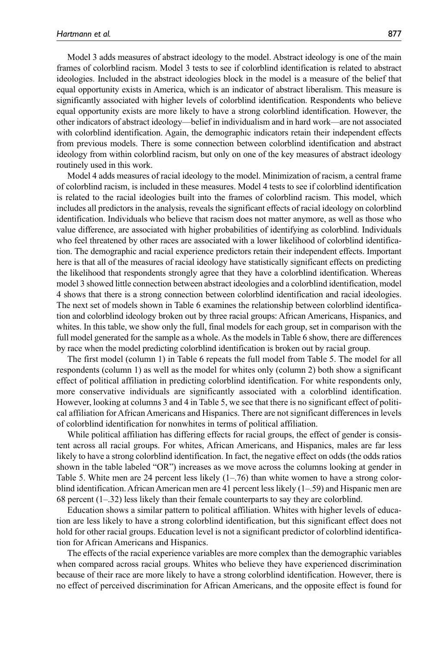Model 3 adds measures of abstract ideology to the model. Abstract ideology is one of the main frames of colorblind racism. Model 3 tests to see if colorblind identification is related to abstract ideologies. Included in the abstract ideologies block in the model is a measure of the belief that equal opportunity exists in America, which is an indicator of abstract liberalism. This measure is significantly associated with higher levels of colorblind identification. Respondents who believe equal opportunity exists are more likely to have a strong colorblind identification. However, the other indicators of abstract ideology—belief in individualism and in hard work—are not associated with colorblind identification. Again, the demographic indicators retain their independent effects from previous models. There is some connection between colorblind identification and abstract ideology from within colorblind racism, but only on one of the key measures of abstract ideology routinely used in this work.

Model 4 adds measures of racial ideology to the model. Minimization of racism, a central frame of colorblind racism, is included in these measures. Model 4 tests to see if colorblind identification is related to the racial ideologies built into the frames of colorblind racism. This model, which includes all predictors in the analysis, reveals the significant effects of racial ideology on colorblind identification. Individuals who believe that racism does not matter anymore, as well as those who value difference, are associated with higher probabilities of identifying as colorblind. Individuals who feel threatened by other races are associated with a lower likelihood of colorblind identification. The demographic and racial experience predictors retain their independent effects. Important here is that all of the measures of racial ideology have statistically significant effects on predicting the likelihood that respondents strongly agree that they have a colorblind identification. Whereas model 3 showed little connection between abstract ideologies and a colorblind identification, model 4 shows that there is a strong connection between colorblind identification and racial ideologies. The next set of models shown in Table 6 examines the relationship between colorblind identification and colorblind ideology broken out by three racial groups: African Americans, Hispanics, and whites. In this table, we show only the full, final models for each group, set in comparison with the full model generated for the sample as a whole. As the models in Table 6 show, there are differences by race when the model predicting colorblind identification is broken out by racial group.

The first model (column 1) in Table 6 repeats the full model from Table 5. The model for all respondents (column 1) as well as the model for whites only (column 2) both show a significant effect of political affiliation in predicting colorblind identification. For white respondents only, more conservative individuals are significantly associated with a colorblind identification. However, looking at columns 3 and 4 in Table 5, we see that there is no significant effect of political affiliation for African Americans and Hispanics. There are not significant differences in levels of colorblind identification for nonwhites in terms of political affiliation.

While political affiliation has differing effects for racial groups, the effect of gender is consistent across all racial groups. For whites, African Americans, and Hispanics, males are far less likely to have a strong colorblind identification. In fact, the negative effect on odds (the odds ratios shown in the table labeled "OR") increases as we move across the columns looking at gender in Table 5. White men are 24 percent less likely (1–.76) than white women to have a strong colorblind identification. African American men are 41 percent less likely (1–.59) and Hispanic men are 68 percent (1–.32) less likely than their female counterparts to say they are colorblind.

Education shows a similar pattern to political affiliation. Whites with higher levels of education are less likely to have a strong colorblind identification, but this significant effect does not hold for other racial groups. Education level is not a significant predictor of colorblind identification for African Americans and Hispanics.

The effects of the racial experience variables are more complex than the demographic variables when compared across racial groups. Whites who believe they have experienced discrimination because of their race are more likely to have a strong colorblind identification. However, there is no effect of perceived discrimination for African Americans, and the opposite effect is found for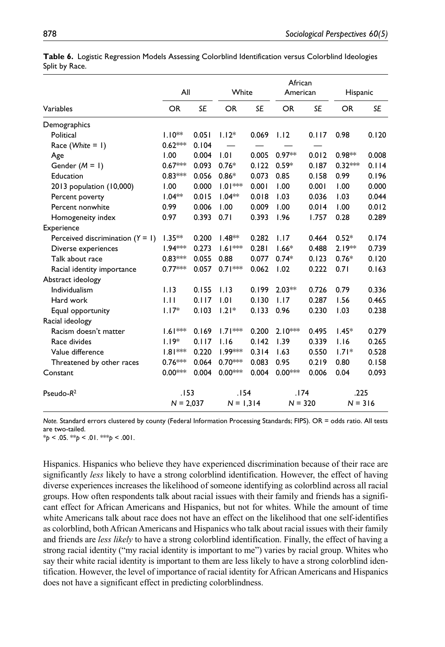|                                    | All         |           | White               |       | African<br>American |           | Hispanic  |       |
|------------------------------------|-------------|-----------|---------------------|-------|---------------------|-----------|-----------|-------|
| Variables                          | OR          | <b>SE</b> | <b>OR</b>           | SE    | <b>OR</b>           | <b>SE</b> | <b>OR</b> | SE    |
| Demographics                       |             |           |                     |       |                     |           |           |       |
| Political                          | $1.10***$   | 0.051     | $1.12*$             | 0.069 | 1.12                | 0.117     | 0.98      | 0.120 |
| Race (White = $\vert$ )            | $0.62***$   | 0.104     |                     |       |                     |           |           |       |
| Age                                | 1.00        | 0.004     | 1.01                | 0.005 | $0.97**$            | 0.012     | $0.98**$  | 0.008 |
| Gender $(M = 1)$                   | $0.67***$   | 0.093     | $0.76*$             | 0.122 | $0.59*$             | 0.187     | $0.32***$ | 0.114 |
| Education                          | $0.83***$   | 0.056     | $0.86*$             | 0.073 | 0.85                | 0.158     | 0.99      | 0.196 |
| 2013 population (10,000)           | 1.00        | 0.000     | $1.01***$           | 0.001 | 1.00                | 0.001     | 1.00      | 0.000 |
| Percent poverty                    | $1.04**$    | 0.015     | $1.04**$            | 0.018 | 1.03                | 0.036     | 1.03      | 0.044 |
| Percent nonwhite                   | 0.99        | 0.006     | 1.00                | 0.009 | 1.00                | 0.014     | 1.00      | 0.012 |
| Homogeneity index                  | 0.97        | 0.393     | 0.71                | 0.393 | 1.96                | 1.757     | 0.28      | 0.289 |
| Experience                         |             |           |                     |       |                     |           |           |       |
| Perceived discrimination $(Y = 1)$ | $1.35**$    | 0.200     | $1.48**$            | 0.282 | 1.17                | 0.464     | $0.52*$   | 0.174 |
| Diverse experiences                | $1.94***$   | 0.273     | $1.61***$           | 0.281 | $1.66*$             | 0.488     | $2.19**$  | 0.739 |
| Talk about race                    | $0.83***$   | 0.055     | 0.88                | 0.077 | $0.74*$             | 0.123     | $0.76*$   | 0.120 |
| Racial identity importance         | $0.77***$   | 0.057     | $0.71***$           | 0.062 | 1.02                | 0.222     | 0.71      | 0.163 |
| Abstract ideology                  |             |           |                     |       |                     |           |           |       |
| Individualism                      | 1.13        | 0.155     | 1.13                | 0.199 | $2.03**$            | 0.726     | 0.79      | 0.336 |
| Hard work                          | 1.11        | 0.117     | 1.01                | 0.130 | 1.17                | 0.287     | 1.56      | 0.465 |
| Equal opportunity                  | $1.17*$     | 0.103     | $1.21*$             | 0.133 | 0.96                | 0.230     | 1.03      | 0.238 |
| Racial ideology                    |             |           |                     |       |                     |           |           |       |
| Racism doesn't matter              | $1.61***$   | 0.169     | $1.71***$           | 0.200 | $2.10***$           | 0.495     | $1.45*$   | 0.279 |
| Race divides                       | $1.19*$     | 0.117     | 1.16                | 0.142 | 1.39                | 0.339     | 1.16      | 0.265 |
| Value difference                   | $1.81***$   | 0.220     | 1.99 <sup>*</sup> * | 0.314 | 1.63                | 0.550     | $1.71*$   | 0.528 |
| Threatened by other races          | $0.76***$   | 0.064     | $0.70***$           | 0.083 | 0.95                | 0.219     | 0.80      | 0.158 |
| Constant                           | $0.00***$   | 0.004     | 0.00***             | 0.004 | $0.00***$           | 0.006     | 0.04      | 0.093 |
| Pseudo- $R^2$                      | .153        |           | . 154               |       | .174                |           | .225      |       |
|                                    | $N = 2,037$ |           | $N = 1,314$         |       | $N = 320$           |           | $N = 316$ |       |

**Table 6.** Logistic Regression Models Assessing Colorblind Identification versus Colorblind Ideologies Split by Race.

*Note.* Standard errors clustered by county (Federal Information Processing Standards; FIPS). OR = odds ratio. All tests are two-tailed.

 $*_{p}$  < .05.  $*_{p}$  < .01.  $*_{p}$  < .001.

Hispanics. Hispanics who believe they have experienced discrimination because of their race are significantly *less* likely to have a strong colorblind identification. However, the effect of having diverse experiences increases the likelihood of someone identifying as colorblind across all racial groups. How often respondents talk about racial issues with their family and friends has a significant effect for African Americans and Hispanics, but not for whites. While the amount of time white Americans talk about race does not have an effect on the likelihood that one self-identifies as colorblind, both African Americans and Hispanics who talk about racial issues with their family and friends are *less likely* to have a strong colorblind identification. Finally, the effect of having a strong racial identity ("my racial identity is important to me") varies by racial group. Whites who say their white racial identity is important to them are less likely to have a strong colorblind identification. However, the level of importance of racial identity for African Americans and Hispanics does not have a significant effect in predicting colorblindness.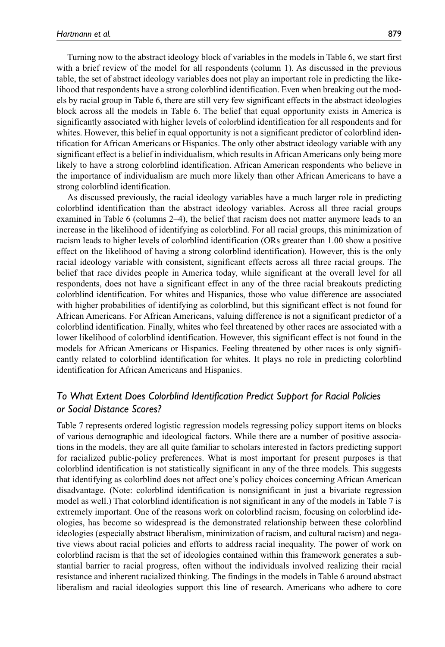Turning now to the abstract ideology block of variables in the models in Table 6, we start first with a brief review of the model for all respondents (column 1). As discussed in the previous table, the set of abstract ideology variables does not play an important role in predicting the likelihood that respondents have a strong colorblind identification. Even when breaking out the models by racial group in Table 6, there are still very few significant effects in the abstract ideologies block across all the models in Table 6. The belief that equal opportunity exists in America is significantly associated with higher levels of colorblind identification for all respondents and for whites. However, this belief in equal opportunity is not a significant predictor of colorblind identification for African Americans or Hispanics. The only other abstract ideology variable with any significant effect is a belief in individualism, which results in African Americans only being more likely to have a strong colorblind identification. African American respondents who believe in the importance of individualism are much more likely than other African Americans to have a strong colorblind identification.

As discussed previously, the racial ideology variables have a much larger role in predicting colorblind identification than the abstract ideology variables. Across all three racial groups examined in Table 6 (columns 2–4), the belief that racism does not matter anymore leads to an increase in the likelihood of identifying as colorblind. For all racial groups, this minimization of racism leads to higher levels of colorblind identification (ORs greater than 1.00 show a positive effect on the likelihood of having a strong colorblind identification). However, this is the only racial ideology variable with consistent, significant effects across all three racial groups. The belief that race divides people in America today, while significant at the overall level for all respondents, does not have a significant effect in any of the three racial breakouts predicting colorblind identification. For whites and Hispanics, those who value difference are associated with higher probabilities of identifying as colorblind, but this significant effect is not found for African Americans. For African Americans, valuing difference is not a significant predictor of a colorblind identification. Finally, whites who feel threatened by other races are associated with a lower likelihood of colorblind identification. However, this significant effect is not found in the models for African Americans or Hispanics. Feeling threatened by other races is only significantly related to colorblind identification for whites. It plays no role in predicting colorblind identification for African Americans and Hispanics.

# *To What Extent Does Colorblind Identification Predict Support for Racial Policies or Social Distance Scores?*

Table 7 represents ordered logistic regression models regressing policy support items on blocks of various demographic and ideological factors. While there are a number of positive associations in the models, they are all quite familiar to scholars interested in factors predicting support for racialized public-policy preferences. What is most important for present purposes is that colorblind identification is not statistically significant in any of the three models. This suggests that identifying as colorblind does not affect one's policy choices concerning African American disadvantage. (Note: colorblind identification is nonsignificant in just a bivariate regression model as well.) That colorblind identification is not significant in any of the models in Table 7 is extremely important. One of the reasons work on colorblind racism, focusing on colorblind ideologies, has become so widespread is the demonstrated relationship between these colorblind ideologies (especially abstract liberalism, minimization of racism, and cultural racism) and negative views about racial policies and efforts to address racial inequality. The power of work on colorblind racism is that the set of ideologies contained within this framework generates a substantial barrier to racial progress, often without the individuals involved realizing their racial resistance and inherent racialized thinking. The findings in the models in Table 6 around abstract liberalism and racial ideologies support this line of research. Americans who adhere to core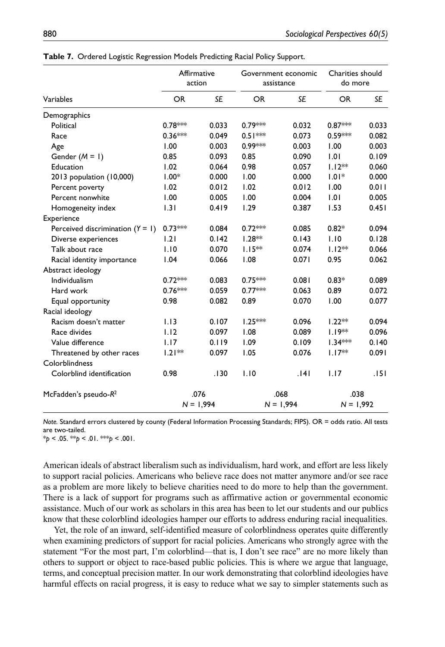|                                    | Affirmative<br>action |           | Government economic<br>assistance |             | Charities should<br>do more |             |  |
|------------------------------------|-----------------------|-----------|-----------------------------------|-------------|-----------------------------|-------------|--|
| Variables                          | <b>OR</b>             | <b>SE</b> | <b>OR</b>                         | <b>SE</b>   | <b>OR</b>                   | SE          |  |
| Demographics                       |                       |           |                                   |             |                             |             |  |
| Political                          | $0.78***$             | 0.033     | 0.79***                           | 0.032       | $0.87***$                   | 0.033       |  |
| Race                               | $0.36***$             | 0.049     | $0.51***$                         | 0.073       | 0.59***                     | 0.082       |  |
| Age                                | 1.00                  | 0.003     | 0.99***                           | 0.003       | 1.00                        | 0.003       |  |
| Gender $(M = 1)$                   | 0.85                  | 0.093     | 0.85                              | 0.090       | 1.01                        | 0.109       |  |
| Education                          | 1.02                  | 0.064     | 0.98                              | 0.057       | $1.12**$                    | 0.060       |  |
| 2013 population (10,000)           | $1.00*$               | 0.000     | 1.00                              | 0.000       | $1.01*$                     | 0.000       |  |
| Percent poverty                    | 1.02                  | 0.012     | 1.02                              | 0.012       | 1.00                        | 0.011       |  |
| Percent nonwhite                   | 1.00                  | 0.005     | 1.00                              | 0.004       | 1.01                        | 0.005       |  |
| Homogeneity index                  | 1.31                  | 0.419     | 1.29                              | 0.387       | 1.53                        | 0.451       |  |
| Experience                         |                       |           |                                   |             |                             |             |  |
| Perceived discrimination $(Y = 1)$ | $0.73***$             | 0.084     | $0.72***$                         | 0.085       | $0.82*$                     | 0.094       |  |
| Diverse experiences                | 1.21                  | 0.142     | $1.28**$                          | 0.143       | 1.10                        | 0.128       |  |
| Talk about race                    | 1.10                  | 0.070     | $1.15**$                          | 0.074       | $1.12**$                    | 0.066       |  |
| Racial identity importance         | 1.04                  | 0.066     | 1.08                              | 0.071       | 0.95                        | 0.062       |  |
| Abstract ideology                  |                       |           |                                   |             |                             |             |  |
| Individualism                      | $0.72***$             | 0.083     | $0.75***$                         | 0.081       | $0.83*$                     | 0.089       |  |
| Hard work                          | $0.76***$             | 0.059     | $0.77***$                         | 0.063       | 0.89                        | 0.072       |  |
| Equal opportunity                  | 0.98                  | 0.082     | 0.89                              | 0.070       | 1.00                        | 0.077       |  |
| Racial ideology                    |                       |           |                                   |             |                             |             |  |
| Racism doesn't matter              | 1.13                  | 0.107     | $1.25***$                         | 0.096       | $1.22**$                    | 0.094       |  |
| Race divides                       | 1.12                  | 0.097     | 1.08                              | 0.089       | $1.19***$                   | 0.096       |  |
| Value difference                   | 1.17                  | 0.119     | 1.09                              | 0.109       | $1.34***$                   | 0.140       |  |
| Threatened by other races          | $1.21**$              | 0.097     | 1.05                              | 0.076       | $1.17**$                    | 0.091       |  |
| Colorblindness                     |                       |           |                                   |             |                             |             |  |
| Colorblind identification          | 0.98                  | .130      | 1.10                              | .141        | 1.17                        | .151        |  |
| McFadden's pseudo-R <sup>2</sup>   |                       | .076      |                                   | .068        |                             | .038        |  |
|                                    | $N = 1,994$           |           |                                   | $N = 1,994$ |                             | $N = 1,992$ |  |

**Table 7.** Ordered Logistic Regression Models Predicting Racial Policy Support.

*Note.* Standard errors clustered by county (Federal Information Processing Standards; FIPS). OR = odds ratio. All tests are two-tailed.

\**p* < .05. \*\**p* < .01. \*\*\**p* < .001.

American ideals of abstract liberalism such as individualism, hard work, and effort are less likely to support racial policies. Americans who believe race does not matter anymore and/or see race as a problem are more likely to believe charities need to do more to help than the government. There is a lack of support for programs such as affirmative action or governmental economic assistance. Much of our work as scholars in this area has been to let our students and our publics know that these colorblind ideologies hamper our efforts to address enduring racial inequalities.

Yet, the role of an inward, self-identified measure of colorblindness operates quite differently when examining predictors of support for racial policies. Americans who strongly agree with the statement "For the most part, I'm colorblind—that is, I don't see race" are no more likely than others to support or object to race-based public policies. This is where we argue that language, terms, and conceptual precision matter. In our work demonstrating that colorblind ideologies have harmful effects on racial progress, it is easy to reduce what we say to simpler statements such as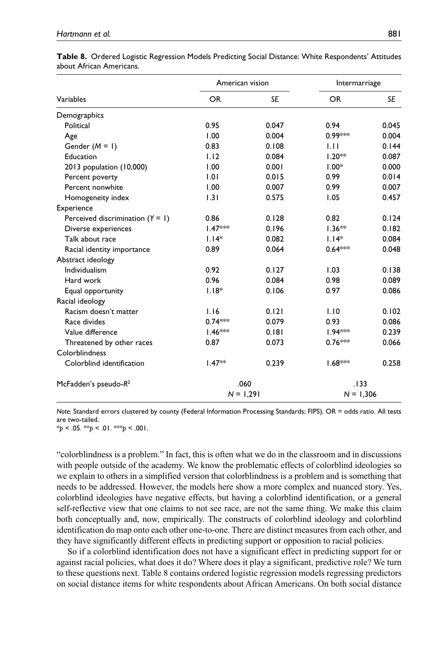|                                    | American vision |           | Intermarriage |           |  |
|------------------------------------|-----------------|-----------|---------------|-----------|--|
| Variables                          | <b>OR</b>       | <b>SE</b> | OR.           | <b>SE</b> |  |
| Demographics                       |                 |           |               |           |  |
| Political                          | 0.95            | 0.047     | 0.94          | 0.045     |  |
| Age                                | 1.00            | 0.004     | $0.99***$     | 0.004     |  |
| Gender $(M = 1)$                   | 0.83            | 0.108     | 1.11          | 0.144     |  |
| Education                          | 1.12            | 0.084     | $1.20**$      | 0.087     |  |
| 2013 population (10,000)           | 1.00            | 0.001     | $1.00*$       | 0.000     |  |
| Percent poverty                    | 1.01            | 0.015     | 0.99          | 0.014     |  |
| Percent nonwhite                   | 1.00            | 0.007     | 0.99          | 0.007     |  |
| Homogeneity index                  | 1.31            | 0.575     | 1.05          | 0.457     |  |
| Experience                         |                 |           |               |           |  |
| Perceived discrimination $(Y = 1)$ | 0.86            | 0.128     | 0.82          | 0.124     |  |
| Diverse experiences                | $1.47***$       | 0.196     | $1.36**$      | 0.182     |  |
| Talk about race                    | $1.14*$         | 0.082     | $1.14*$       | 0.084     |  |
| Racial identity importance         | 0.89            | 0.064     | $0.64***$     | 0.048     |  |
| Abstract ideology                  |                 |           |               |           |  |
| Individualism                      | 0.92            | 0.127     | 1.03          | 0.138     |  |
| Hard work                          | 0.96            | 0.084     | 0.98          | 0.089     |  |
| Equal opportunity                  | $1.18*$         | 0.106     | 0.97          | 0.086     |  |
| Racial ideology                    |                 |           |               |           |  |
| Racism doesn't matter              | 1.16            | 0.121     | 1.10          | 0.102     |  |
| Race divides                       | $0.74***$       | 0.079     | 0.93          | 0.086     |  |
| Value difference                   | 1.46 ***        | 0.181     | $1.94***$     | 0.239     |  |
| Threatened by other races          | 0.87            | 0.073     | $0.76***$     | 0.066     |  |
| Colorblindness                     |                 |           |               |           |  |
| Colorblind identification          | $1.47**$        | 0.239     | $1.68***$     | 0.258     |  |
| McFadden's pseudo-R <sup>2</sup>   | .060            |           | .133          |           |  |
|                                    | $N = 1,291$     |           | $N = 1,306$   |           |  |

**Table 8.** Ordered Logistic Regression Models Predicting Social Distance: White Respondents' Attitudes about African Americans.

*Note.* Standard errors clustered by county (Federal Information Processing Standards; FIPS). OR = odds ratio. All tests are two-tailed.

\**p* < .05. \*\**p* < .01. \*\*\**p* < .001.

"colorblindness is a problem." In fact, this is often what we do in the classroom and in discussions with people outside of the academy. We know the problematic effects of colorblind ideologies so we explain to others in a simplified version that colorblindness is a problem and is something that needs to be addressed. However, the models here show a more complex and nuanced story. Yes, colorblind ideologies have negative effects, but having a colorblind identification, or a general self-reflective view that one claims to not see race, are not the same thing. We make this claim both conceptually and, now, empirically. The constructs of colorblind ideology and colorblind identification do map onto each other one-to-one. There are distinct measures from each other, and they have significantly different effects in predicting support or opposition to racial policies.

So if a colorblind identification does not have a significant effect in predicting support for or against racial policies, what does it do? Where does it play a significant, predictive role? We turn to these questions next. Table 8 contains ordered logistic regression models regressing predictors on social distance items for white respondents about African Americans. On both social distance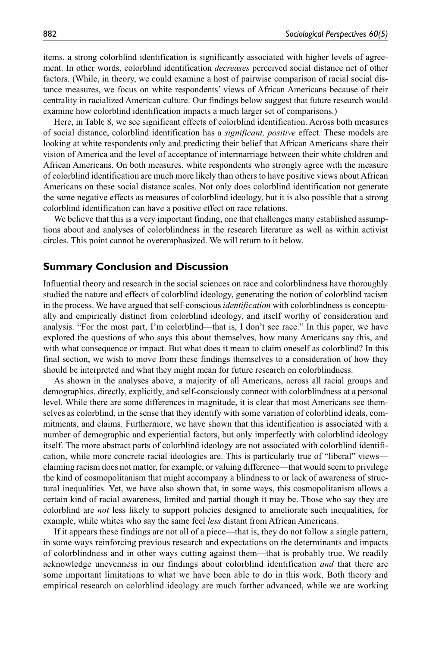items, a strong colorblind identification is significantly associated with higher levels of agreement. In other words, colorblind identification *decreases* perceived social distance net of other factors. (While, in theory, we could examine a host of pairwise comparison of racial social distance measures, we focus on white respondents' views of African Americans because of their centrality in racialized American culture. Our findings below suggest that future research would examine how colorblind identification impacts a much larger set of comparisons.)

Here, in Table 8, we see significant effects of colorblind identification. Across both measures of social distance, colorblind identification has a *significant, positive* effect. These models are looking at white respondents only and predicting their belief that African Americans share their vision of America and the level of acceptance of intermarriage between their white children and African Americans. On both measures, white respondents who strongly agree with the measure of colorblind identification are much more likely than others to have positive views about African Americans on these social distance scales. Not only does colorblind identification not generate the same negative effects as measures of colorblind ideology, but it is also possible that a strong colorblind identification can have a positive effect on race relations.

We believe that this is a very important finding, one that challenges many established assumptions about and analyses of colorblindness in the research literature as well as within activist circles. This point cannot be overemphasized. We will return to it below.

# **Summary Conclusion and Discussion**

Influential theory and research in the social sciences on race and colorblindness have thoroughly studied the nature and effects of colorblind ideology, generating the notion of colorblind racism in the process. We have argued that self-conscious *identification* with colorblindness is conceptually and empirically distinct from colorblind ideology, and itself worthy of consideration and analysis. "For the most part, I'm colorblind—that is, I don't see race." In this paper, we have explored the questions of who says this about themselves, how many Americans say this, and with what consequence or impact. But what does it mean to claim oneself as colorblind? In this final section, we wish to move from these findings themselves to a consideration of how they should be interpreted and what they might mean for future research on colorblindness.

As shown in the analyses above, a majority of all Americans, across all racial groups and demographics, directly, explicitly, and self-consciously connect with colorblindness at a personal level. While there are some differences in magnitude, it is clear that most Americans see themselves as colorblind, in the sense that they identify with some variation of colorblind ideals, commitments, and claims. Furthermore, we have shown that this identification is associated with a number of demographic and experiential factors, but only imperfectly with colorblind ideology itself. The more abstract parts of colorblind ideology are not associated with colorblind identification, while more concrete racial ideologies are. This is particularly true of "liberal" views claiming racism does not matter, for example, or valuing difference—that would seem to privilege the kind of cosmopolitanism that might accompany a blindness to or lack of awareness of structural inequalities. Yet, we have also shown that, in some ways, this cosmopolitanism allows a certain kind of racial awareness, limited and partial though it may be. Those who say they are colorblind are *not* less likely to support policies designed to ameliorate such inequalities, for example, while whites who say the same feel *less* distant from African Americans.

If it appears these findings are not all of a piece—that is, they do not follow a single pattern, in some ways reinforcing previous research and expectations on the determinants and impacts of colorblindness and in other ways cutting against them—that is probably true. We readily acknowledge unevenness in our findings about colorblind identification *and* that there are some important limitations to what we have been able to do in this work. Both theory and empirical research on colorblind ideology are much farther advanced, while we are working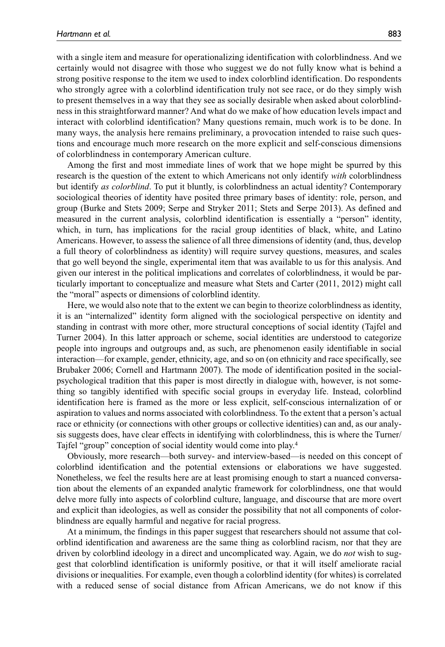with a single item and measure for operationalizing identification with colorblindness. And we certainly would not disagree with those who suggest we do not fully know what is behind a strong positive response to the item we used to index colorblind identification. Do respondents who strongly agree with a colorblind identification truly not see race, or do they simply wish to present themselves in a way that they see as socially desirable when asked about colorblindness in this straightforward manner? And what do we make of how education levels impact and interact with colorblind identification? Many questions remain, much work is to be done. In many ways, the analysis here remains preliminary, a provocation intended to raise such questions and encourage much more research on the more explicit and self-conscious dimensions of colorblindness in contemporary American culture.

Among the first and most immediate lines of work that we hope might be spurred by this research is the question of the extent to which Americans not only identify *with* colorblindness but identify *as colorblind*. To put it bluntly, is colorblindness an actual identity? Contemporary sociological theories of identity have posited three primary bases of identity: role, person, and group (Burke and Stets 2009; Serpe and Stryker 2011; Stets and Serpe 2013). As defined and measured in the current analysis, colorblind identification is essentially a "person" identity, which, in turn, has implications for the racial group identities of black, white, and Latino Americans. However, to assess the salience of all three dimensions of identity (and, thus, develop a full theory of colorblindness as identity) will require survey questions, measures, and scales that go well beyond the single, experimental item that was available to us for this analysis. And given our interest in the political implications and correlates of colorblindness, it would be particularly important to conceptualize and measure what Stets and Carter (2011, 2012) might call the "moral" aspects or dimensions of colorblind identity.

Here, we would also note that to the extent we can begin to theorize colorblindness as identity, it is an "internalized" identity form aligned with the sociological perspective on identity and standing in contrast with more other, more structural conceptions of social identity (Tajfel and Turner 2004). In this latter approach or scheme, social identities are understood to categorize people into ingroups and outgroups and, as such, are phenomenon easily identifiable in social interaction—for example, gender, ethnicity, age, and so on (on ethnicity and race specifically, see Brubaker 2006; Cornell and Hartmann 2007). The mode of identification posited in the socialpsychological tradition that this paper is most directly in dialogue with, however, is not something so tangibly identified with specific social groups in everyday life. Instead, colorblind identification here is framed as the more or less explicit, self-conscious internalization of or aspiration to values and norms associated with colorblindness. To the extent that a person's actual race or ethnicity (or connections with other groups or collective identities) can and, as our analysis suggests does, have clear effects in identifying with colorblindness, this is where the Turner/ Tajfel "group" conception of social identity would come into play.4

Obviously, more research—both survey- and interview-based—is needed on this concept of colorblind identification and the potential extensions or elaborations we have suggested. Nonetheless, we feel the results here are at least promising enough to start a nuanced conversation about the elements of an expanded analytic framework for colorblindness, one that would delve more fully into aspects of colorblind culture, language, and discourse that are more overt and explicit than ideologies, as well as consider the possibility that not all components of colorblindness are equally harmful and negative for racial progress.

At a minimum, the findings in this paper suggest that researchers should not assume that colorblind identification and awareness are the same thing as colorblind racism, nor that they are driven by colorblind ideology in a direct and uncomplicated way. Again, we do *not* wish to suggest that colorblind identification is uniformly positive, or that it will itself ameliorate racial divisions or inequalities. For example, even though a colorblind identity (for whites) is correlated with a reduced sense of social distance from African Americans, we do not know if this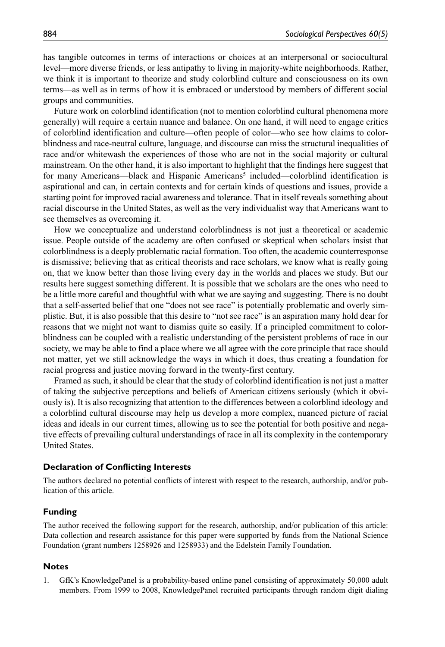has tangible outcomes in terms of interactions or choices at an interpersonal or sociocultural level—more diverse friends, or less antipathy to living in majority-white neighborhoods. Rather, we think it is important to theorize and study colorblind culture and consciousness on its own terms—as well as in terms of how it is embraced or understood by members of different social groups and communities.

Future work on colorblind identification (not to mention colorblind cultural phenomena more generally) will require a certain nuance and balance. On one hand, it will need to engage critics of colorblind identification and culture—often people of color—who see how claims to colorblindness and race-neutral culture, language, and discourse can miss the structural inequalities of race and/or whitewash the experiences of those who are not in the social majority or cultural mainstream. On the other hand, it is also important to highlight that the findings here suggest that for many Americans—black and Hispanic Americans<sup>5</sup> included—colorblind identification is aspirational and can, in certain contexts and for certain kinds of questions and issues, provide a starting point for improved racial awareness and tolerance. That in itself reveals something about racial discourse in the United States, as well as the very individualist way that Americans want to see themselves as overcoming it.

How we conceptualize and understand colorblindness is not just a theoretical or academic issue. People outside of the academy are often confused or skeptical when scholars insist that colorblindness is a deeply problematic racial formation. Too often, the academic counterresponse is dismissive; believing that as critical theorists and race scholars, we know what is really going on, that we know better than those living every day in the worlds and places we study. But our results here suggest something different. It is possible that we scholars are the ones who need to be a little more careful and thoughtful with what we are saying and suggesting. There is no doubt that a self-asserted belief that one "does not see race" is potentially problematic and overly simplistic. But, it is also possible that this desire to "not see race" is an aspiration many hold dear for reasons that we might not want to dismiss quite so easily. If a principled commitment to colorblindness can be coupled with a realistic understanding of the persistent problems of race in our society, we may be able to find a place where we all agree with the core principle that race should not matter, yet we still acknowledge the ways in which it does, thus creating a foundation for racial progress and justice moving forward in the twenty-first century.

Framed as such, it should be clear that the study of colorblind identification is not just a matter of taking the subjective perceptions and beliefs of American citizens seriously (which it obviously is). It is also recognizing that attention to the differences between a colorblind ideology and a colorblind cultural discourse may help us develop a more complex, nuanced picture of racial ideas and ideals in our current times, allowing us to see the potential for both positive and negative effects of prevailing cultural understandings of race in all its complexity in the contemporary United States.

## **Declaration of Conflicting Interests**

The authors declared no potential conflicts of interest with respect to the research, authorship, and/or publication of this article.

#### **Funding**

The author received the following support for the research, authorship, and/or publication of this article: Data collection and research assistance for this paper were supported by funds from the National Science Foundation (grant numbers 1258926 and 1258933) and the Edelstein Family Foundation.

### **Notes**

1. GfK's KnowledgePanel is a probability-based online panel consisting of approximately 50,000 adult members. From 1999 to 2008, KnowledgePanel recruited participants through random digit dialing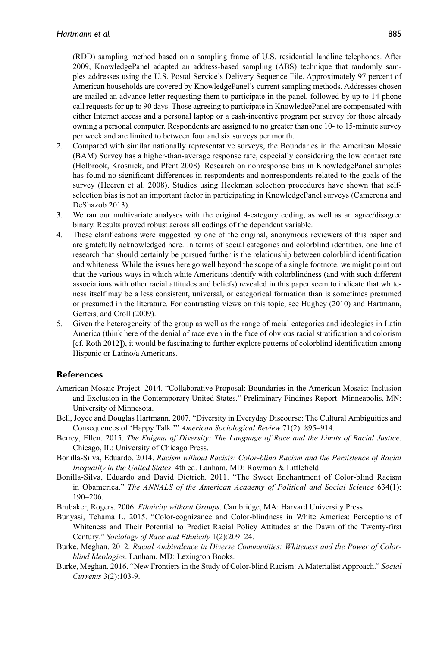(RDD) sampling method based on a sampling frame of U.S. residential landline telephones. After 2009, KnowledgePanel adapted an address-based sampling (ABS) technique that randomly samples addresses using the U.S. Postal Service's Delivery Sequence File. Approximately 97 percent of American households are covered by KnowledgePanel's current sampling methods. Addresses chosen are mailed an advance letter requesting them to participate in the panel, followed by up to 14 phone call requests for up to 90 days. Those agreeing to participate in KnowledgePanel are compensated with either Internet access and a personal laptop or a cash-incentive program per survey for those already owning a personal computer. Respondents are assigned to no greater than one 10- to 15-minute survey per week and are limited to between four and six surveys per month.

- 2. Compared with similar nationally representative surveys, the Boundaries in the American Mosaic (BAM) Survey has a higher-than-average response rate, especially considering the low contact rate (Holbrook, Krosnick, and Pfent 2008). Research on nonresponse bias in KnowledgePanel samples has found no significant differences in respondents and nonrespondents related to the goals of the survey (Heeren et al. 2008). Studies using Heckman selection procedures have shown that selfselection bias is not an important factor in participating in KnowledgePanel surveys (Camerona and DeShazob 2013).
- 3. We ran our multivariate analyses with the original 4-category coding, as well as an agree/disagree binary. Results proved robust across all codings of the dependent variable.
- 4. These clarifications were suggested by one of the original, anonymous reviewers of this paper and are gratefully acknowledged here. In terms of social categories and colorblind identities, one line of research that should certainly be pursued further is the relationship between colorblind identification and whiteness. While the issues here go well beyond the scope of a single footnote, we might point out that the various ways in which white Americans identify with colorblindness (and with such different associations with other racial attitudes and beliefs) revealed in this paper seem to indicate that whiteness itself may be a less consistent, universal, or categorical formation than is sometimes presumed or presumed in the literature. For contrasting views on this topic, see Hughey (2010) and Hartmann, Gerteis, and Croll (2009).
- 5. Given the heterogeneity of the group as well as the range of racial categories and ideologies in Latin America (think here of the denial of race even in the face of obvious racial stratification and colorism [cf. Roth 2012]), it would be fascinating to further explore patterns of colorblind identification among Hispanic or Latino/a Americans.

# **References**

- American Mosaic Project. 2014. "Collaborative Proposal: Boundaries in the American Mosaic: Inclusion and Exclusion in the Contemporary United States." Preliminary Findings Report. Minneapolis, MN: University of Minnesota.
- Bell, Joyce and Douglas Hartmann. 2007. "Diversity in Everyday Discourse: The Cultural Ambiguities and Consequences of 'Happy Talk.'" *American Sociological Review* 71(2): 895–914.
- Berrey, Ellen. 2015. *The Enigma of Diversity: The Language of Race and the Limits of Racial Justice*. Chicago, IL: University of Chicago Press.
- Bonilla-Silva, Eduardo. 2014. *Racism without Racists: Color-blind Racism and the Persistence of Racial Inequality in the United States*. 4th ed. Lanham, MD: Rowman & Littlefield.
- Bonilla-Silva, Eduardo and David Dietrich. 2011. "The Sweet Enchantment of Color-blind Racism in Obamerica." *The ANNALS of the American Academy of Political and Social Science* 634(1): 190–206.
- Brubaker, Rogers. 2006. *Ethnicity without Groups*. Cambridge, MA: Harvard University Press.
- Bunyasi, Tehama L. 2015. "Color-cognizance and Color-blindness in White America: Perceptions of Whiteness and Their Potential to Predict Racial Policy Attitudes at the Dawn of the Twenty-first Century." *Sociology of Race and Ethnicity* 1(2):209–24.

Burke, Meghan. 2012. *Racial Ambivalence in Diverse Communities: Whiteness and the Power of Colorblind Ideologies*. Lanham, MD: Lexington Books.

Burke, Meghan. 2016. "New Frontiers in the Study of Color-blind Racism: A Materialist Approach." *Social Currents* 3(2):103-9.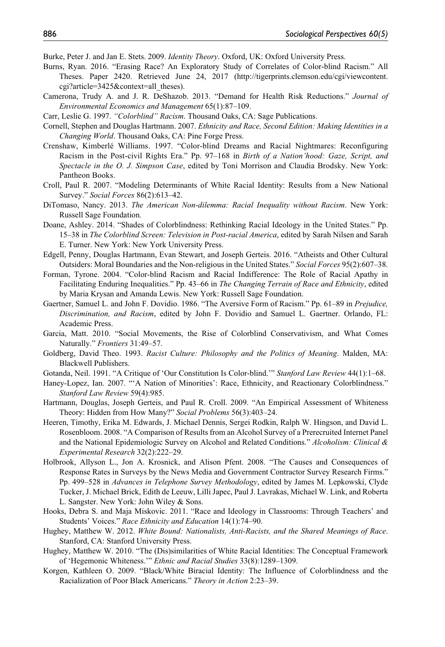Burke, Peter J. and Jan E. Stets. 2009. *Identity Theory*. Oxford, UK: Oxford University Press.

- Burns, Ryan. 2016. "Erasing Race? An Exploratory Study of Correlates of Color-blind Racism." All Theses. Paper 2420. Retrieved June 24, 2017 ([http://tigerprints.clemson.edu/cgi/viewcontent.](http://tigerprints.clemson.edu/cgi/viewcontent.cgi?article=3425&context=all_theses) [cgi?article=3425&context=all\\_theses\)](http://tigerprints.clemson.edu/cgi/viewcontent.cgi?article=3425&context=all_theses).
- Camerona, Trudy A. and J. R. DeShazob. 2013. "Demand for Health Risk Reductions." *Journal of Environmental Economics and Management* 65(1):87–109.
- Carr, Leslie G. 1997. *"Colorblind" Racism*. Thousand Oaks, CA: Sage Publications.
- Cornell, Stephen and Douglas Hartmann. 2007. *Ethnicity and Race, Second Edition: Making Identities in a Changing World*. Thousand Oaks, CA: Pine Forge Press.
- Crenshaw, Kimberlé Williams. 1997. "Color-blind Dreams and Racial Nightmares: Reconfiguring Racism in the Post-civil Rights Era." Pp. 97–168 in *Birth of a Nation'hood: Gaze, Script, and Spectacle in the O. J. Simpson Case*, edited by Toni Morrison and Claudia Brodsky. New York: Pantheon Books.
- Croll, Paul R. 2007. "Modeling Determinants of White Racial Identity: Results from a New National Survey." *Social Forces* 86(2):613–42.
- DiTomaso, Nancy. 2013. *The American Non-dilemma: Racial Inequality without Racism*. New York: Russell Sage Foundation.
- Doane, Ashley. 2014. "Shades of Colorblindness: Rethinking Racial Ideology in the United States." Pp. 15–38 in *The Colorblind Screen: Television in Post-racial America*, edited by Sarah Nilsen and Sarah E. Turner. New York: New York University Press.
- Edgell, Penny, Douglas Hartmann, Evan Stewart, and Joseph Gerteis. 2016. "Atheists and Other Cultural Outsiders: Moral Boundaries and the Non-religious in the United States." *Social Forces* 95(2):607–38.
- Forman, Tyrone. 2004. "Color-blind Racism and Racial Indifference: The Role of Racial Apathy in Facilitating Enduring Inequalities." Pp. 43–66 in *The Changing Terrain of Race and Ethnicity*, edited by Maria Krysan and Amanda Lewis. New York: Russell Sage Foundation.
- Gaertner, Samuel L. and John F. Dovidio. 1986. "The Aversive Form of Racism." Pp. 61–89 in *Prejudice, Discrimination, and Racism*, edited by John F. Dovidio and Samuel L. Gaertner. Orlando, FL: Academic Press.
- Garcia, Matt. 2010. "Social Movements, the Rise of Colorblind Conservativism, and What Comes Naturally." *Frontiers* 31:49–57.
- Goldberg, David Theo. 1993. *Racist Culture: Philosophy and the Politics of Meaning*. Malden, MA: Blackwell Publishers.
- Gotanda, Neil. 1991. "A Critique of 'Our Constitution Is Color-blind.'" *Stanford Law Review* 44(1):1–68.
- Haney-Lopez, Ian. 2007. "'A Nation of Minorities': Race, Ethnicity, and Reactionary Colorblindness." *Stanford Law Review* 59(4):985.
- Hartmann, Douglas, Joseph Gerteis, and Paul R. Croll. 2009. "An Empirical Assessment of Whiteness Theory: Hidden from How Many?" *Social Problems* 56(3):403–24.
- Heeren, Timothy, Erika M. Edwards, J. Michael Dennis, Sergei Rodkin, Ralph W. Hingson, and David L. Rosenbloom. 2008. "A Comparison of Results from an Alcohol Survey of a Prerecruited Internet Panel and the National Epidemiologic Survey on Alcohol and Related Conditions." *Alcoholism: Clinical & Experimental Research* 32(2):222–29.
- Holbrook, Allyson L., Jon A. Krosnick, and Alison Pfent. 2008. "The Causes and Consequences of Response Rates in Surveys by the News Media and Government Contractor Survey Research Firms." Pp. 499–528 in *Advances in Telephone Survey Methodology*, edited by James M. Lepkowski, Clyde Tucker, J. Michael Brick, Edith de Leeuw, Lilli Japec, Paul J. Lavrakas, Michael W. Link, and Roberta L. Sangster. New York: John Wiley & Sons.
- Hooks, Debra S. and Maja Miskovic. 2011. "Race and Ideology in Classrooms: Through Teachers' and Students' Voices." *Race Ethnicity and Education* 14(1):74–90.
- Hughey, Matthew W. 2012. *White Bound: Nationalists, Anti-Racists, and the Shared Meanings of Race*. Stanford, CA: Stanford University Press.
- Hughey, Matthew W. 2010. "The (Dis)similarities of White Racial Identities: The Conceptual Framework of 'Hegemonic Whiteness.'" *Ethnic and Racial Studies* 33(8):1289–1309.
- Korgen, Kathleen O. 2009. "Black/White Biracial Identity: The Influence of Colorblindness and the Racialization of Poor Black Americans." *Theory in Action* 2:23–39.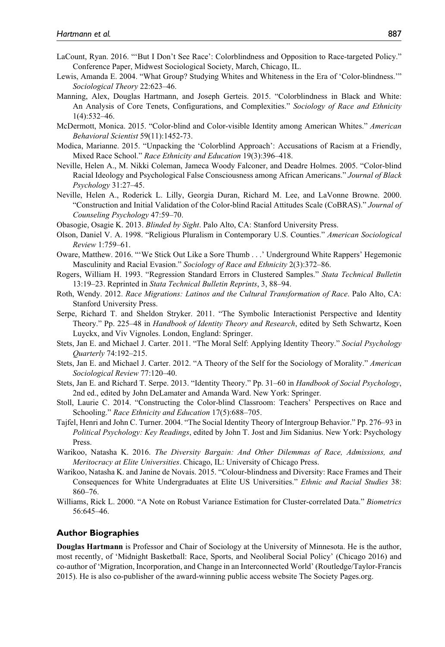- LaCount, Ryan. 2016. "'But I Don't See Race': Colorblindness and Opposition to Race-targeted Policy." Conference Paper, Midwest Sociological Society, March, Chicago, IL.
- Lewis, Amanda E. 2004. "What Group? Studying Whites and Whiteness in the Era of 'Color-blindness.'" *Sociological Theory* 22:623–46.
- Manning, Alex, Douglas Hartmann, and Joseph Gerteis. 2015. "Colorblindness in Black and White: An Analysis of Core Tenets, Configurations, and Complexities." *Sociology of Race and Ethnicity* 1(4):532–46.
- McDermott, Monica. 2015. "Color-blind and Color-visible Identity among American Whites." *American Behavioral Scientist* 59(11):1452-73.
- Modica, Marianne. 2015. "Unpacking the 'Colorblind Approach': Accusations of Racism at a Friendly, Mixed Race School." *Race Ethnicity and Education* 19(3):396–418.
- Neville, Helen A., M. Nikki Coleman, Jameca Woody Falconer, and Deadre Holmes. 2005. "Color-blind Racial Ideology and Psychological False Consciousness among African Americans." *Journal of Black Psychology* 31:27–45.
- Neville, Helen A., Roderick L. Lilly, Georgia Duran, Richard M. Lee, and LaVonne Browne. 2000. "Construction and Initial Validation of the Color-blind Racial Attitudes Scale (CoBRAS)." *Journal of Counseling Psychology* 47:59–70.
- Obasogie, Osagie K. 2013. *Blinded by Sight*. Palo Alto, CA: Stanford University Press.
- Olson, Daniel V. A. 1998. "Religious Pluralism in Contemporary U.S. Counties." *American Sociological Review* 1:759–61.
- Oware, Matthew. 2016. "'We Stick Out Like a Sore Thumb . . .' Underground White Rappers' Hegemonic Masculinity and Racial Evasion." *Sociology of Race and Ethnicity* 2(3):372–86.
- Rogers, William H. 1993. "Regression Standard Errors in Clustered Samples." *Stata Technical Bulletin* 13:19–23. Reprinted in *Stata Technical Bulletin Reprints*, 3, 88–94.
- Roth, Wendy. 2012. *Race Migrations: Latinos and the Cultural Transformation of Race*. Palo Alto, CA: Stanford University Press.
- Serpe, Richard T. and Sheldon Stryker. 2011. "The Symbolic Interactionist Perspective and Identity Theory." Pp. 225–48 in *Handbook of Identity Theory and Research*, edited by Seth Schwartz, Koen Luyckx, and Viv Vignoles. London, England: Springer.
- Stets, Jan E. and Michael J. Carter. 2011. "The Moral Self: Applying Identity Theory." *Social Psychology Quarterly* 74:192–215.
- Stets, Jan E. and Michael J. Carter. 2012. "A Theory of the Self for the Sociology of Morality." *American Sociological Review* 77:120–40.
- Stets, Jan E. and Richard T. Serpe. 2013. "Identity Theory." Pp. 31–60 in *Handbook of Social Psychology*, 2nd ed., edited by John DeLamater and Amanda Ward. New York: Springer.
- Stoll, Laurie C. 2014. "Constructing the Color-blind Classroom: Teachers' Perspectives on Race and Schooling." *Race Ethnicity and Education* 17(5):688–705.
- Tajfel, Henri and John C. Turner. 2004. "The Social Identity Theory of Intergroup Behavior." Pp. 276–93 in *Political Psychology: Key Readings*, edited by John T. Jost and Jim Sidanius. New York: Psychology Press.
- Warikoo, Natasha K. 2016. *The Diversity Bargain: And Other Dilemmas of Race, Admissions, and Meritocracy at Elite Universities*. Chicago, IL: University of Chicago Press.
- Warikoo, Natasha K. and Janine de Novais. 2015. "Colour-blindness and Diversity: Race Frames and Their Consequences for White Undergraduates at Elite US Universities." *Ethnic and Racial Studies* 38: 860–76.
- Williams, Rick L. 2000. "A Note on Robust Variance Estimation for Cluster-correlated Data." *Biometrics* 56:645–46.

#### **Author Biographies**

**Douglas Hartmann** is Professor and Chair of Sociology at the University of Minnesota. He is the author, most recently, of 'Midnight Basketball: Race, Sports, and Neoliberal Social Policy' (Chicago 2016) and co-author of 'Migration, Incorporation, and Change in an Interconnected World' (Routledge/Taylor-Francis 2015). He is also co-publisher of the award-winning public access website The Society Pages.org.